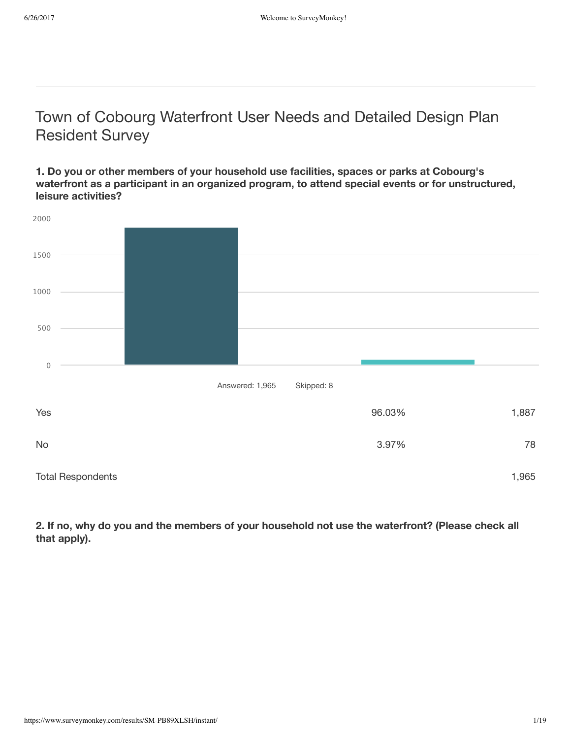# Town of Cobourg Waterfront User Needs and Detailed Design Plan Resident Survey

**1. Do you or other members of your household use facilities, spaces or parks at Cobourg's waterfront as a participant in an organized program, to attend special events or for unstructured, leisure activities?**



2. If no, why do you and the members of your household not use the waterfront? (Please check all **that apply).**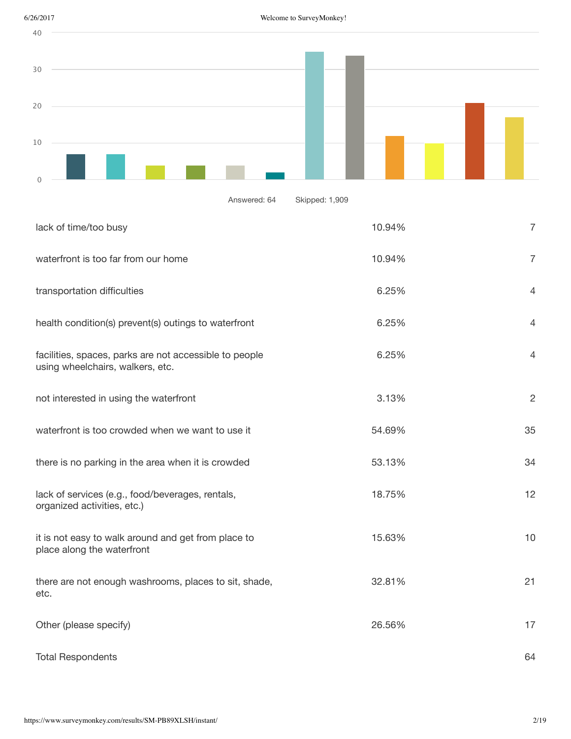



Answered: 64 Skipped: 1,909

| lack of time/too busy                                                                      | 10.94% | $\overline{7}$ |
|--------------------------------------------------------------------------------------------|--------|----------------|
| waterfront is too far from our home                                                        | 10.94% | $\overline{7}$ |
| transportation difficulties                                                                | 6.25%  | $\overline{4}$ |
| health condition(s) prevent(s) outings to waterfront                                       | 6.25%  | $\overline{4}$ |
| facilities, spaces, parks are not accessible to people<br>using wheelchairs, walkers, etc. | 6.25%  | $\overline{4}$ |
| not interested in using the waterfront                                                     | 3.13%  | $\overline{2}$ |
| waterfront is too crowded when we want to use it                                           | 54.69% | 35             |
| there is no parking in the area when it is crowded                                         | 53.13% | 34             |
| lack of services (e.g., food/beverages, rentals,<br>organized activities, etc.)            | 18.75% | 12             |
| it is not easy to walk around and get from place to<br>place along the waterfront          | 15.63% | 10             |
| there are not enough washrooms, places to sit, shade,<br>etc.                              | 32.81% | 21             |
| Other (please specify)                                                                     | 26.56% | 17             |
| <b>Total Respondents</b>                                                                   |        | 64             |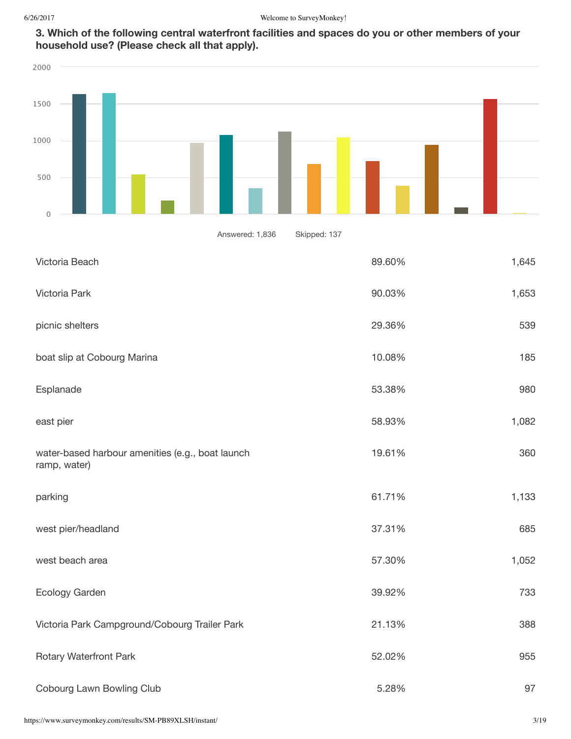

| 2000                                                             |              |       |
|------------------------------------------------------------------|--------------|-------|
|                                                                  |              |       |
| 1500                                                             |              |       |
| 1000                                                             |              |       |
| 500                                                              |              |       |
| $\mathbf 0$                                                      |              |       |
| Answered: 1,836                                                  | Skipped: 137 |       |
| Victoria Beach                                                   | 89.60%       | 1,645 |
| Victoria Park                                                    | 90.03%       | 1,653 |
| picnic shelters                                                  | 29.36%       | 539   |
| boat slip at Cobourg Marina                                      | 10.08%       | 185   |
| Esplanade                                                        | 53.38%       | 980   |
| east pier                                                        | 58.93%       | 1,082 |
| water-based harbour amenities (e.g., boat launch<br>ramp, water) | 19.61%       | 360   |
| parking                                                          | 61.71%       | 1,133 |
| west pier/headland                                               | 37.31%       | 685   |
| west beach area                                                  | 57.30%       | 1,052 |
| Ecology Garden                                                   | 39.92%       | 733   |
| Victoria Park Campground/Cobourg Trailer Park                    | 21.13%       | 388   |
| Rotary Waterfront Park                                           | 52.02%       | 955   |
| Cobourg Lawn Bowling Club                                        | 5.28%        | 97    |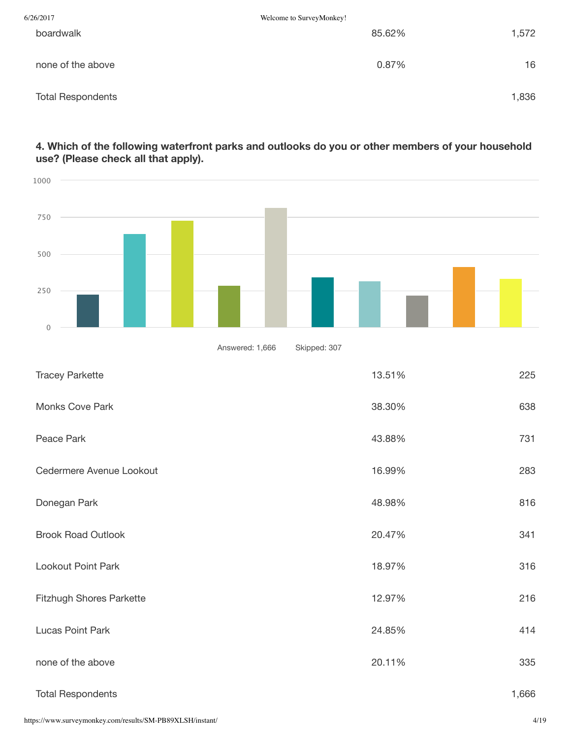| 6/26/2017                | Welcome to SurveyMonkey! |       |
|--------------------------|--------------------------|-------|
| boardwalk                | 85.62%                   | 1,572 |
| none of the above        | 0.87%                    | 16    |
| <b>Total Respondents</b> |                          | 1,836 |

# **4. Which of the following waterfront parks and outlooks do you or other members of your household use? (Please check all that apply).**

| 1000                      |                 |              |        |       |
|---------------------------|-----------------|--------------|--------|-------|
| 750                       |                 |              |        |       |
| 500<br>250                |                 |              |        |       |
| $\mathsf{O}\xspace$       |                 |              |        |       |
|                           | Answered: 1,666 | Skipped: 307 |        |       |
| <b>Tracey Parkette</b>    |                 |              | 13.51% | 225   |
| Monks Cove Park           |                 |              | 38.30% | 638   |
| Peace Park                |                 |              | 43.88% | 731   |
| Cedermere Avenue Lookout  |                 |              | 16.99% | 283   |
| Donegan Park              |                 |              | 48.98% | 816   |
| <b>Brook Road Outlook</b> |                 |              | 20.47% | 341   |
| Lookout Point Park        |                 |              | 18.97% | 316   |
| Fitzhugh Shores Parkette  |                 |              | 12.97% | 216   |
| Lucas Point Park          |                 |              | 24.85% | 414   |
| none of the above         |                 |              | 20.11% | 335   |
| <b>Total Respondents</b>  |                 |              |        | 1,666 |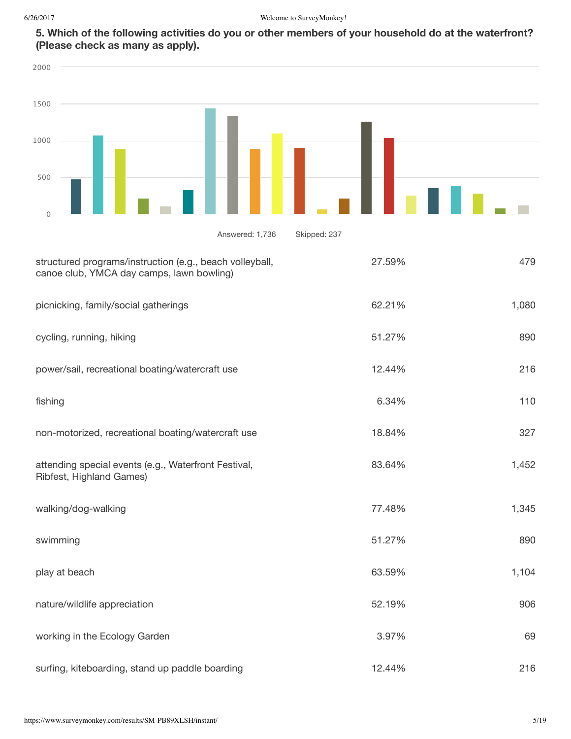| 2000                                                                                                  |              |        |       |
|-------------------------------------------------------------------------------------------------------|--------------|--------|-------|
| 1500                                                                                                  |              |        |       |
| 1000                                                                                                  |              |        |       |
| 500<br>$\mathbf{0}$                                                                                   |              |        |       |
| Answered: 1,736                                                                                       | Skipped: 237 |        |       |
| structured programs/instruction (e.g., beach volleyball,<br>canoe club, YMCA day camps, lawn bowling) |              | 27.59% | 479   |
| picnicking, family/social gatherings                                                                  |              | 62.21% | 1,080 |
| cycling, running, hiking                                                                              |              | 51.27% | 890   |
| power/sail, recreational boating/watercraft use                                                       |              | 12.44% | 216   |
| fishing                                                                                               |              | 6.34%  | 110   |
| non-motorized, recreational boating/watercraft use                                                    |              | 18.84% | 327   |
| attending special events (e.g., Waterfront Festival,<br>Ribfest, Highland Games)                      |              | 83.64% | 1,452 |
| walking/dog-walking                                                                                   |              | 77.48% | 1,345 |
| swimming                                                                                              |              | 51.27% | 890   |
| play at beach                                                                                         |              | 63.59% | 1,104 |
| nature/wildlife appreciation                                                                          |              | 52.19% | 906   |
| working in the Ecology Garden                                                                         |              | 3.97%  | 69    |
| surfing, kiteboarding, stand up paddle boarding                                                       |              | 12.44% | 216   |

5. Which of the following activities do you or other members of your household do at the waterfront? **(Please check as many as apply).**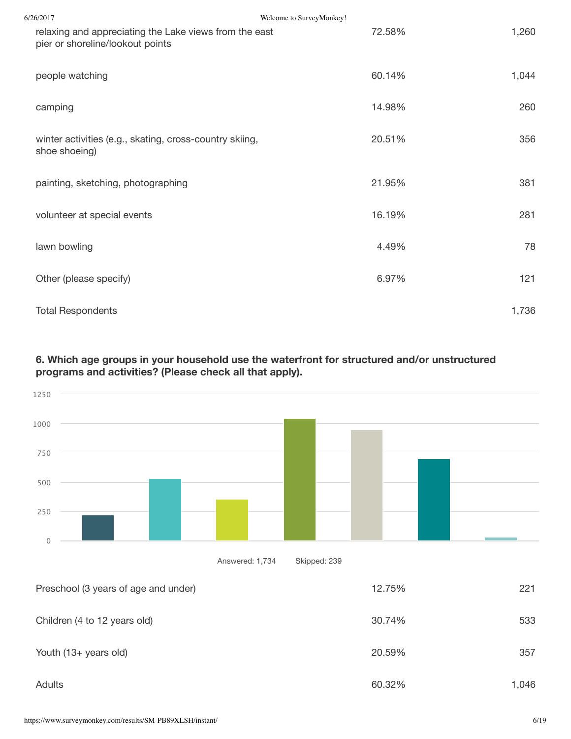| 6/26/2017                                                                                  | Welcome to SurveyMonkey! |       |
|--------------------------------------------------------------------------------------------|--------------------------|-------|
| relaxing and appreciating the Lake views from the east<br>pier or shoreline/lookout points | 72.58%                   | 1,260 |
| people watching                                                                            | 60.14%                   | 1,044 |
| camping                                                                                    | 14.98%                   | 260   |
| winter activities (e.g., skating, cross-country skiing,<br>shoe shoeing)                   | 20.51%                   | 356   |
| painting, sketching, photographing                                                         | 21.95%                   | 381   |
| volunteer at special events                                                                | 16.19%                   | 281   |
| lawn bowling                                                                               | 4.49%                    | 78    |
| Other (please specify)                                                                     | 6.97%                    | 121   |
| <b>Total Respondents</b>                                                                   |                          | 1,736 |

# **6. Which age groups in your household use the waterfront for structured and/or unstructured programs and activities? (Please check all that apply).**

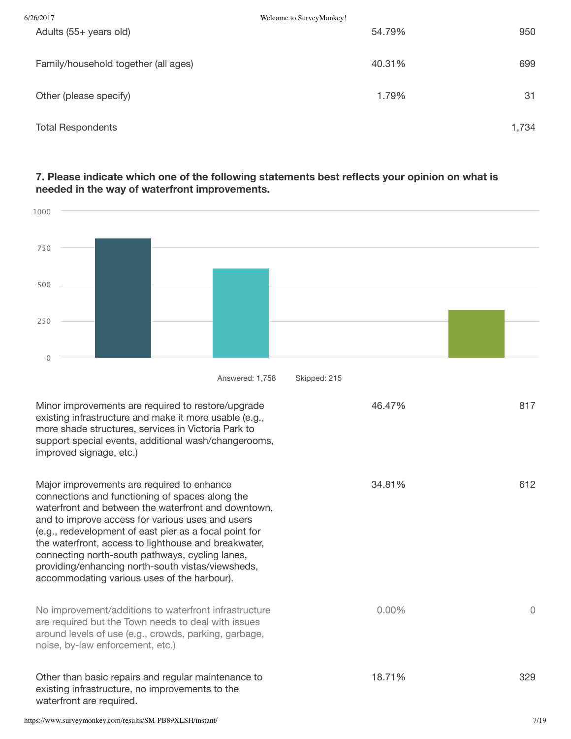| 6/26/2017                            | Welcome to SurveyMonkey! |       |
|--------------------------------------|--------------------------|-------|
| Adults (55+ years old)               | 54.79%                   | 950   |
| Family/household together (all ages) | 40.31%                   | 699   |
| Other (please specify)               | 1.79%                    | 31    |
| <b>Total Respondents</b>             |                          | 1,734 |

## **7. Please indicate which one of the following statements best reflects your opinion on what is needed in the way of waterfront improvements.**

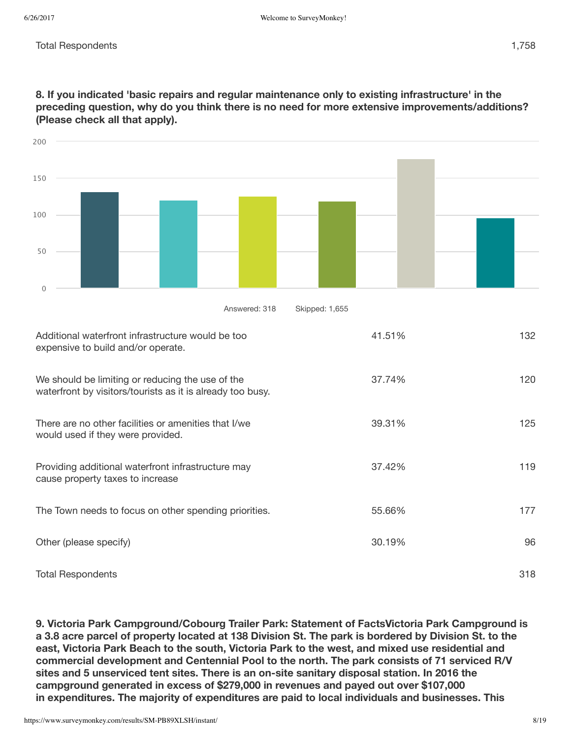| 200                                                                                                            |        |     |
|----------------------------------------------------------------------------------------------------------------|--------|-----|
| 150                                                                                                            |        |     |
| 100                                                                                                            |        |     |
| 50                                                                                                             |        |     |
| $\mathbf 0$                                                                                                    |        |     |
| Skipped: 1,655<br>Answered: 318                                                                                |        |     |
| Additional waterfront infrastructure would be too<br>expensive to build and/or operate.                        | 41.51% | 132 |
| We should be limiting or reducing the use of the<br>waterfront by visitors/tourists as it is already too busy. | 37.74% | 120 |
| There are no other facilities or amenities that I/we<br>would used if they were provided.                      | 39.31% | 125 |
| Providing additional waterfront infrastructure may<br>cause property taxes to increase                         | 37.42% | 119 |
| The Town needs to focus on other spending priorities.                                                          | 55.66% | 177 |
| Other (please specify)                                                                                         | 30.19% | 96  |
| <b>Total Respondents</b>                                                                                       |        | 318 |

**8. If you indicated 'basic repairs and regular maintenance only to existing infrastructure' in the preceding question, why do you think there is no need for more extensive improvements/additions? (Please check all that apply).**

**9. Victoria Park Campground/Cobourg Trailer Park: Statement of FactsVictoria Park Campground is** a 3.8 acre parcel of property located at 138 Division St. The park is bordered by Division St. to the **east, Victoria Park Beach to the south, Victoria Park to the west, and mixed use residential and commercial development and Centennial Pool to the north. The park consists of 71 serviced R/V sites and 5 unserviced tent sites. There is an on-site sanitary disposal station. In 2016 the campground generated in excess of \$279,000 in revenues and payed out over \$107,000 in expenditures. The majority of expenditures are paid to local individuals and businesses. This**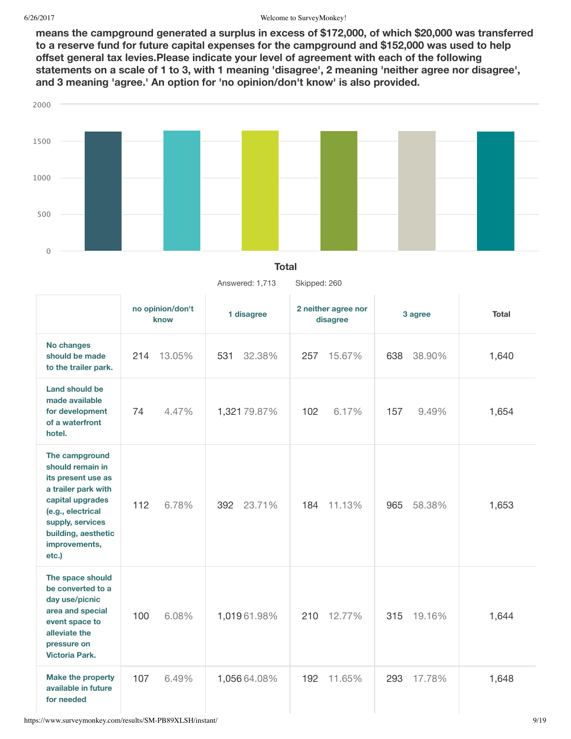**means the campground generated a surplus in excess of \$172,000, of which \$20,000 was transferred to a reserve fund for future capital expenses for the campground and \$152,000 was used to help offset general tax levies.Please indicate your level of agreement with each of the following** statements on a scale of 1 to 3, with 1 meaning 'disagree', 2 meaning 'neither agree nor disagree', **and 3 meaning 'agree.' An option for 'no opinion/don't know' is also provided.**



#### **Total**

Answered: 1,713 Skipped: 260

|                                                                                                                                                                                               | no opinion/don't<br>know | 1 disagree    | 2 neither agree nor<br>disagree | 3 agree       | <b>Total</b> |
|-----------------------------------------------------------------------------------------------------------------------------------------------------------------------------------------------|--------------------------|---------------|---------------------------------|---------------|--------------|
| No changes<br>should be made<br>to the trailer park.                                                                                                                                          | 13.05%<br>214            | 531<br>32.38% | 257<br>15.67%                   | 638<br>38.90% | 1,640        |
| Land should be<br>made available<br>for development<br>of a waterfront<br>hotel.                                                                                                              | 74<br>4.47%              | 1,321 79.87%  | 102<br>6.17%                    | 157<br>9.49%  | 1,654        |
| The campground<br>should remain in<br>its present use as<br>a trailer park with<br>capital upgrades<br>(e.g., electrical<br>supply, services<br>building, aesthetic<br>improvements,<br>etc.) | 112<br>6.78%             | 23.71%<br>392 | 184<br>11.13%                   | 965<br>58.38% | 1,653        |
| The space should<br>be converted to a<br>day use/picnic<br>area and special<br>event space to<br>alleviate the<br>pressure on<br><b>Victoria Park.</b>                                        | 100<br>6.08%             | 1,01961.98%   | 12.77%<br>210                   | 19.16%<br>315 | 1,644        |
| <b>Make the property</b><br>available in future<br>for needed                                                                                                                                 | 6.49%<br>107             | 1,056 64.08%  | 11.65%<br>192                   | 17.78%<br>293 | 1,648        |

https://www.surveymonkey.com/results/SM-PB89XLSH/instant/ 9/19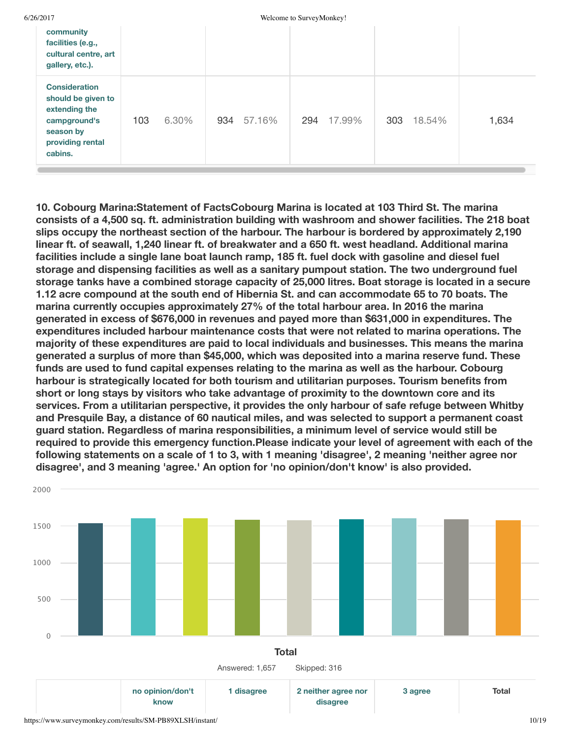| 6/26/2017 |  |
|-----------|--|
|           |  |

Welcome to SurveyMonkey!

| community<br>facilities (e.g.,<br>cultural centre, art<br>gallery, etc.).                                               |     |       |     |        |     |        |     |        |       |
|-------------------------------------------------------------------------------------------------------------------------|-----|-------|-----|--------|-----|--------|-----|--------|-------|
| <b>Consideration</b><br>should be given to<br>extending the<br>campground's<br>season by<br>providing rental<br>cabins. | 103 | 6.30% | 934 | 57.16% | 294 | 17.99% | 303 | 18.54% | 1,634 |

**10. Cobourg Marina:Statement of FactsCobourg Marina is located at 103 Third St. The marina consists of a 4,500 sq. ft. administration building with washroom and shower facilities. The 218 boat slips occupy the northeast section of the harbour. The harbour is bordered by approximately 2,190 linear ft. of seawall, 1,240 linear ft. of breakwater and a 650 ft. west headland. Additional marina facilities include a single lane boat launch ramp, 185 ft. fuel dock with gasoline and diesel fuel storage and dispensing facilities as well as a sanitary pumpout station. The two underground fuel storage tanks have a combined storage capacity of 25,000 litres. Boat storage is located in a secure 1.12 acre compound at the south end of Hibernia St. and can accommodate 65 to 70 boats. The marina currently occupies approximately 27% of the total harbour area. In 2016 the marina generated in excess of \$676,000 in revenues and payed more than \$631,000 in expenditures. The expenditures included harbour maintenance costs that were not related to marina operations. The majority of these expenditures are paid to local individuals and businesses. This means the marina generated a surplus of more than \$45,000, which was deposited into a marina reserve fund. These funds are used to fund capital expenses relating to the marina as well as the harbour. Cobourg harbour is strategically located for both tourism and utilitarian purposes. Tourism benefits from short or long stays by visitors who take advantage of proximity to the downtown core and its services. From a utilitarian perspective, it provides the only harbour of safe refuge between Whitby and Presquile Bay, a distance of 60 nautical miles, and was selected to support a permanent coast guard station. Regardless of marina responsibilities, a minimum level of service would still be required to provide this emergency function.Please indicate your level of agreement with each of the following statements on a scale of 1 to 3, with 1 meaning 'disagree', 2 meaning 'neither agree nor disagree', and 3 meaning 'agree.' An option for 'no opinion/don't know' is also provided.**

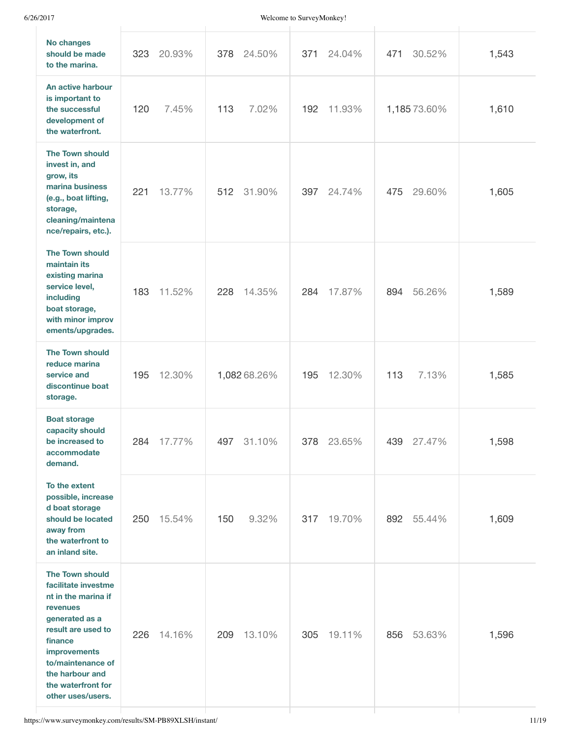| <b>No changes</b><br>should be made<br>to the marina.                                                                                                                                                                                  | 323<br>20.93% | 378<br>24.50% | 371<br>24.04% | 471<br>30.52% | 1,543 |
|----------------------------------------------------------------------------------------------------------------------------------------------------------------------------------------------------------------------------------------|---------------|---------------|---------------|---------------|-------|
| An active harbour<br>is important to<br>the successful<br>development of<br>the waterfront.                                                                                                                                            | 120<br>7.45%  | 113<br>7.02%  | 192<br>11.93% | 1,185 73.60%  | 1,610 |
| <b>The Town should</b><br>invest in, and<br>grow, its<br>marina business<br>(e.g., boat lifting,<br>storage,<br>cleaning/maintena<br>nce/repairs, etc.).                                                                               | 221<br>13.77% | 31.90%<br>512 | 397<br>24.74% | 29.60%<br>475 | 1,605 |
| <b>The Town should</b><br>maintain its<br>existing marina<br>service level,<br>including<br>boat storage,<br>with minor improv<br>ements/upgrades.                                                                                     | 183<br>11.52% | 228<br>14.35% | 284<br>17.87% | 56.26%<br>894 | 1,589 |
| <b>The Town should</b><br>reduce marina<br>service and<br>discontinue boat<br>storage.                                                                                                                                                 | 12.30%<br>195 | 1,082 68.26%  | 195<br>12.30% | 113<br>7.13%  | 1,585 |
| <b>Boat storage</b><br>capacity should<br>be increased to<br>accommodate<br>demand.                                                                                                                                                    | 284<br>17.77% | 497<br>31.10% | 378<br>23.65% | 439<br>27.47% | 1,598 |
| To the extent<br>possible, increase<br>d boat storage<br>should be located<br>away from<br>the waterfront to<br>an inland site.                                                                                                        | 15.54%<br>250 | 150<br>9.32%  | 19.70%<br>317 | 892<br>55.44% | 1,609 |
| <b>The Town should</b><br>facilitate investme<br>nt in the marina if<br>revenues<br>generated as a<br>result are used to<br>finance<br>improvements<br>to/maintenance of<br>the harbour and<br>the waterfront for<br>other uses/users. | 14.16%<br>226 | 209<br>13.10% | 19.11%<br>305 | 53.63%<br>856 | 1,596 |
|                                                                                                                                                                                                                                        |               |               |               |               |       |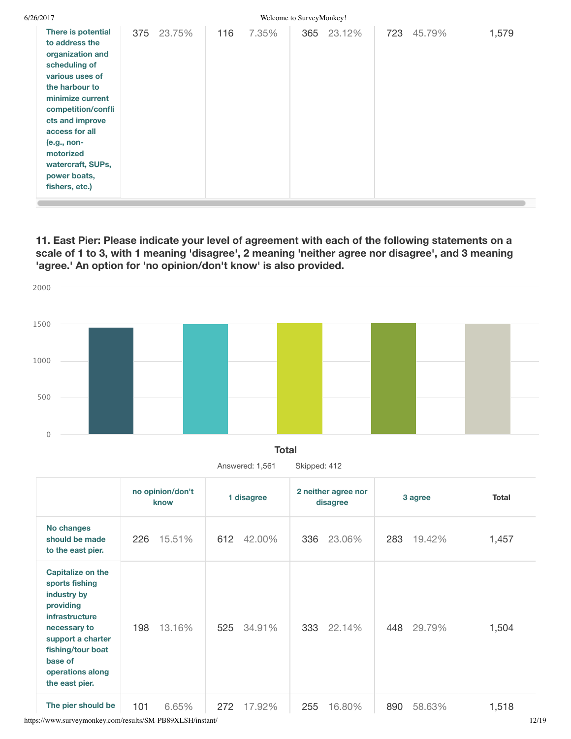| 6/26/2017                                                                                                                                                                                                                                                                          |     |        |     |       | Welcome to SurveyMonkey! |            |     |        |       |
|------------------------------------------------------------------------------------------------------------------------------------------------------------------------------------------------------------------------------------------------------------------------------------|-----|--------|-----|-------|--------------------------|------------|-----|--------|-------|
| There is potential<br>to address the<br>organization and<br>scheduling of<br>various uses of<br>the harbour to<br>minimize current<br>competition/confli<br>cts and improve<br>access for all<br>$(e.g., non-$<br>motorized<br>watercraft, SUPs,<br>power boats,<br>fishers, etc.) | 375 | 23.75% | 116 | 7.35% |                          | 365 23.12% | 723 | 45.79% | 1,579 |

**11. East Pier: Please indicate your level of agreement with each of the following statements on a scale of 1 to 3, with 1 meaning 'disagree', 2 meaning 'neither agree nor disagree', and 3 meaning 'agree.' An option for 'no opinion/don't know' is also provided.**



Answered: 1,561 Skipped: 412

|                                                                                                                                                                                                     | no opinion/don't<br>know | 1 disagree    | 2 neither agree nor<br>disagree | 3 agree       | Total |
|-----------------------------------------------------------------------------------------------------------------------------------------------------------------------------------------------------|--------------------------|---------------|---------------------------------|---------------|-------|
| No changes<br>should be made<br>to the east pier.                                                                                                                                                   | 15.51%<br>226            | 42.00%<br>612 | 23.06%<br>336                   | 283<br>19.42% | 1,457 |
| <b>Capitalize on the</b><br>sports fishing<br>industry by<br>providing<br>infrastructure<br>necessary to<br>support a charter<br>fishing/tour boat<br>base of<br>operations along<br>the east pier. | 13.16%<br>198            | 34.91%<br>525 | 22.14%<br>333                   | 29.79%<br>448 | 1,504 |
| The pier should be                                                                                                                                                                                  | 101<br>6.65%             | 272<br>17.92% | 16.80%<br>255                   | 58.63%<br>890 | 1,518 |

https://www.surveymonkey.com/results/SM-PB89XLSH/instant/ 12/19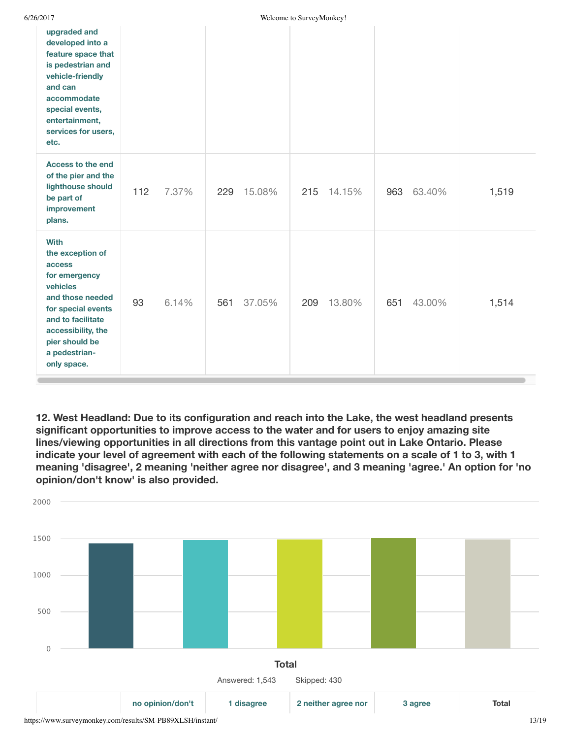| 6/26/2017 |  |
|-----------|--|
|           |  |

| upgraded and<br>developed into a<br>feature space that<br>is pedestrian and<br>vehicle-friendly<br>and can<br>accommodate<br>special events,<br>entertainment,<br>services for users,<br>etc.                 |     |       |     |        |     |        |     |        |       |
|---------------------------------------------------------------------------------------------------------------------------------------------------------------------------------------------------------------|-----|-------|-----|--------|-----|--------|-----|--------|-------|
| Access to the end<br>of the pier and the<br>lighthouse should<br>be part of<br>improvement<br>plans.                                                                                                          | 112 | 7.37% | 229 | 15.08% | 215 | 14.15% | 963 | 63.40% | 1,519 |
| <b>With</b><br>the exception of<br>access<br>for emergency<br>vehicles<br>and those needed<br>for special events<br>and to facilitate<br>accessibility, the<br>pier should be<br>a pedestrian-<br>only space. | 93  | 6.14% | 561 | 37.05% | 209 | 13.80% | 651 | 43.00% | 1,514 |

**12. West Headland: Due to its configuration and reach into the Lake, the west headland presents significant opportunities to improve access to the water and for users to enjoy amazing site lines/viewing opportunities in all directions from this vantage point out in Lake Ontario. Please** indicate your level of agreement with each of the following statements on a scale of 1 to 3, with 1 **meaning 'disagree', 2 meaning 'neither agree nor disagree', and 3 meaning 'agree.' An option for 'no opinion/don't know' is also provided.**

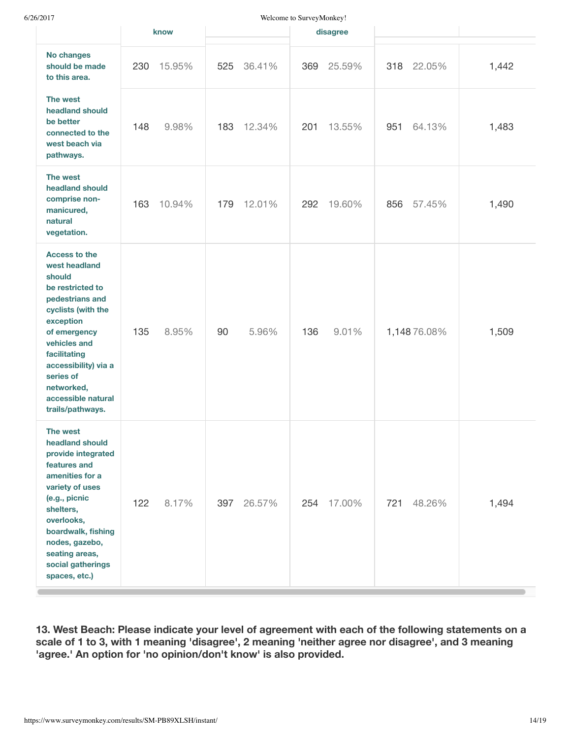| 20 I I                                                                                                                                                                                                                                                                 | know          | <i>welcome to surveywronkey.</i><br>disagree |               |       |
|------------------------------------------------------------------------------------------------------------------------------------------------------------------------------------------------------------------------------------------------------------------------|---------------|----------------------------------------------|---------------|-------|
| No changes<br>should be made<br>to this area.                                                                                                                                                                                                                          | 230<br>15.95% | 36.41%<br>525<br>25.59%<br>369               | 318<br>22.05% | 1,442 |
| The west<br>headland should<br>be better<br>connected to the<br>west beach via<br>pathways.                                                                                                                                                                            | 148<br>9.98%  | 183<br>12.34%<br>201<br>13.55%               | 64.13%<br>951 | 1,483 |
| The west<br>headland should<br>comprise non-<br>manicured,<br>natural<br>vegetation.                                                                                                                                                                                   | 163<br>10.94% | 179<br>12.01%<br>19.60%<br>292               | 57.45%<br>856 | 1,490 |
| <b>Access to the</b><br>west headland<br>should<br>be restricted to<br>pedestrians and<br>cyclists (with the<br>exception<br>of emergency<br>vehicles and<br>facilitating<br>accessibility) via a<br>series of<br>networked,<br>accessible natural<br>trails/pathways. | 135<br>8.95%  | 90<br>5.96%<br>136<br>9.01%                  | 1,14876.08%   | 1,509 |
| The west<br>headland should<br>provide integrated<br>features and<br>amenities for a<br>variety of uses<br>(e.g., picnic<br>shelters,<br>overlooks,<br>boardwalk, fishing<br>nodes, gazebo,<br>seating areas,<br>social gatherings<br>spaces, etc.)                    | 122<br>8.17%  | 26.57%<br>397<br>254<br>17.00%               | 721<br>48.26% | 1,494 |

**13. West Beach: Please indicate your level of agreement with each of the following statements on a scale of 1 to 3, with 1 meaning 'disagree', 2 meaning 'neither agree nor disagree', and 3 meaning 'agree.' An option for 'no opinion/don't know' is also provided.**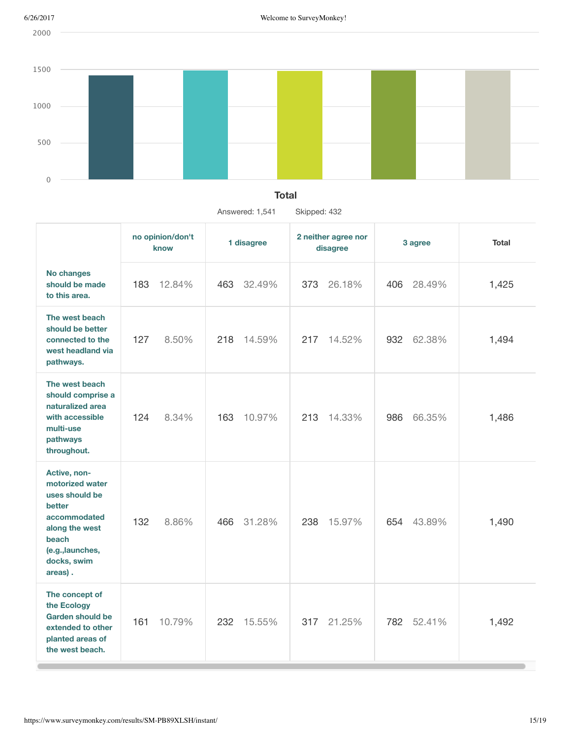2000





|                                                                                                                                                      | no opinion/don't<br>know | 1 disagree    | 2 neither agree nor<br>disagree | 3 agree        | <b>Total</b> |
|------------------------------------------------------------------------------------------------------------------------------------------------------|--------------------------|---------------|---------------------------------|----------------|--------------|
| No changes<br>should be made<br>to this area.                                                                                                        | 183<br>12.84%            | 463<br>32.49% | 373<br>26.18%                   | 28.49%<br>406. | 1,425        |
| The west beach<br>should be better<br>connected to the<br>west headland via<br>pathways.                                                             | 127<br>8.50%             | 218<br>14.59% | 217<br>14.52%                   | 932<br>62.38%  | 1,494        |
| The west beach<br>should comprise a<br>naturalized area<br>with accessible<br>multi-use<br>pathways<br>throughout.                                   | 124<br>8.34%             | 163<br>10.97% | 213<br>14.33%                   | 986<br>66.35%  | 1,486        |
| Active, non-<br>motorized water<br>uses should be<br>better<br>accommodated<br>along the west<br>beach<br>(e.g., launches,<br>docks, swim<br>areas). | 132<br>8.86%             | 31.28%<br>466 | 15.97%<br>238                   | 654<br>43.89%  | 1,490        |
| The concept of<br>the Ecology<br><b>Garden should be</b><br>extended to other<br>planted areas of<br>the west beach.                                 | 161<br>10.79%            | 232<br>15.55% | 21.25%<br>317                   | 782 52.41%     | 1,492        |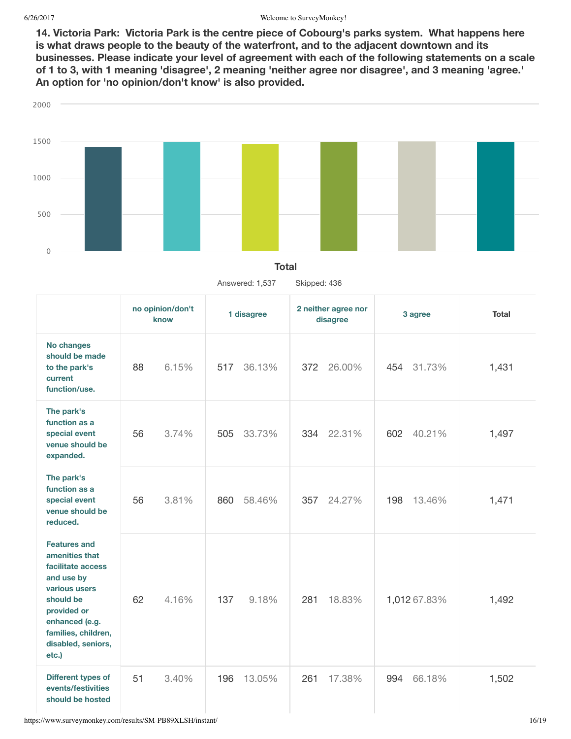**14. Victoria Park: Victoria Park is the centre piece of Cobourg's parks system. What happens here is what draws people to the beauty of the waterfront, and to the adjacent downtown and its businesses. Please indicate your level of agreement with each of the following statements on a scale** of 1 to 3, with 1 meaning 'disagree', 2 meaning 'neither agree nor disagree', and 3 meaning 'agree.' **An option for 'no opinion/don't know' is also provided.**



#### **Total**

Answered: 1,537 Skipped: 436

|                                                                                                                                                                                               | no opinion/don't<br>know | 1 disagree    | 2 neither agree nor<br>disagree | 3 agree       | <b>Total</b> |
|-----------------------------------------------------------------------------------------------------------------------------------------------------------------------------------------------|--------------------------|---------------|---------------------------------|---------------|--------------|
| <b>No changes</b><br>should be made<br>to the park's<br>current<br>function/use.                                                                                                              | 88<br>6.15%              | 517<br>36.13% | 372<br>26.00%                   | 454 31.73%    | 1,431        |
| The park's<br>function as a<br>special event<br>venue should be<br>expanded.                                                                                                                  | 3.74%<br>56              | 505<br>33.73% | 334<br>22.31%                   | 602<br>40.21% | 1,497        |
| The park's<br>function as a<br>special event<br>venue should be<br>reduced.                                                                                                                   | 3.81%<br>56              | 860<br>58.46% | 357<br>24.27%                   | 198<br>13.46% | 1,471        |
| <b>Features and</b><br>amenities that<br>facilitate access<br>and use by<br>various users<br>should be<br>provided or<br>enhanced (e.g.<br>families, children,<br>disabled, seniors,<br>etc.) | 62<br>4.16%              | 137<br>9.18%  | 18.83%<br>281                   | 1,012 67.83%  | 1,492        |
| Different types of<br>events/festivities<br>should be hosted                                                                                                                                  | 51<br>3.40%              | 13.05%<br>196 | 17.38%<br>261                   | 994<br>66.18% | 1,502        |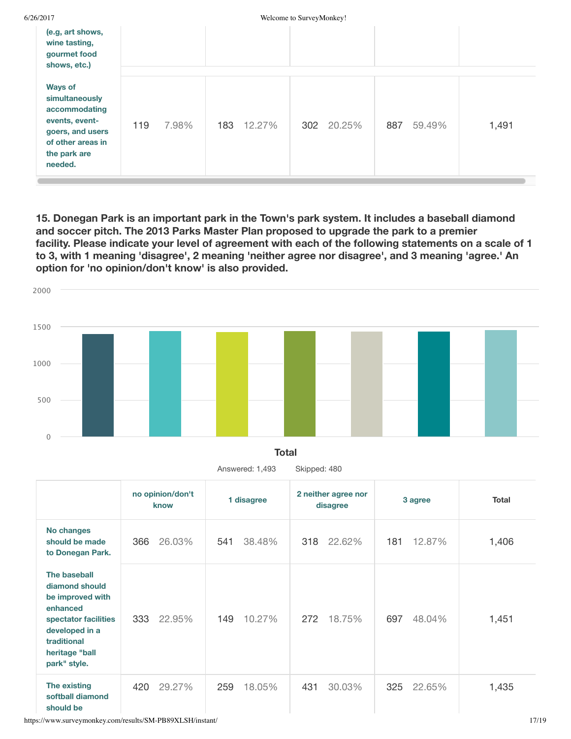| 6/26/2017                                                                                                                               |     |       |            | Welcome to SurveyMonkey! |            |     |        |       |
|-----------------------------------------------------------------------------------------------------------------------------------------|-----|-------|------------|--------------------------|------------|-----|--------|-------|
| (e.g, art shows,<br>wine tasting,<br>gourmet food<br>shows, etc.)                                                                       |     |       |            |                          |            |     |        |       |
|                                                                                                                                         |     |       |            |                          |            |     |        |       |
| <b>Ways of</b><br>simultaneously<br>accommodating<br>events, event-<br>goers, and users<br>of other areas in<br>the park are<br>needed. | 119 | 7.98% | 183 12.27% |                          | 302 20.25% | 887 | 59.49% | 1,491 |

**15. Donegan Park is an important park in the Town's park system. It includes a baseball diamond and soccer pitch. The 2013 Parks Master Plan proposed to upgrade the park to a premier** facility. Please indicate your level of agreement with each of the following statements on a scale of 1 **to 3, with 1 meaning 'disagree', 2 meaning 'neither agree nor disagree', and 3 meaning 'agree.' An option for 'no opinion/don't know' is also provided.**





366 26.03% 541 38.48% 318 22.62% 181 12.87% 333 22.95% 149 10.27% 272 18.75% 697 48.04% 420 29.27% 259 18.05% 431 30.03% 325 22.65% 1,406 1,451 1,435 Answered: 1,493 Skipped: 480 **no opinion/don't know 1 disagree 2 neither agree nor disagree 3 agree Total No changes should be made to Donegan Park. The baseball diamond should be improved with enhanced spectator facilities developed in a traditional heritage "ball park" style. The existing softball diamond should be**

https://www.surveymonkey.com/results/SM-PB89XLSH/instant/ 17/19